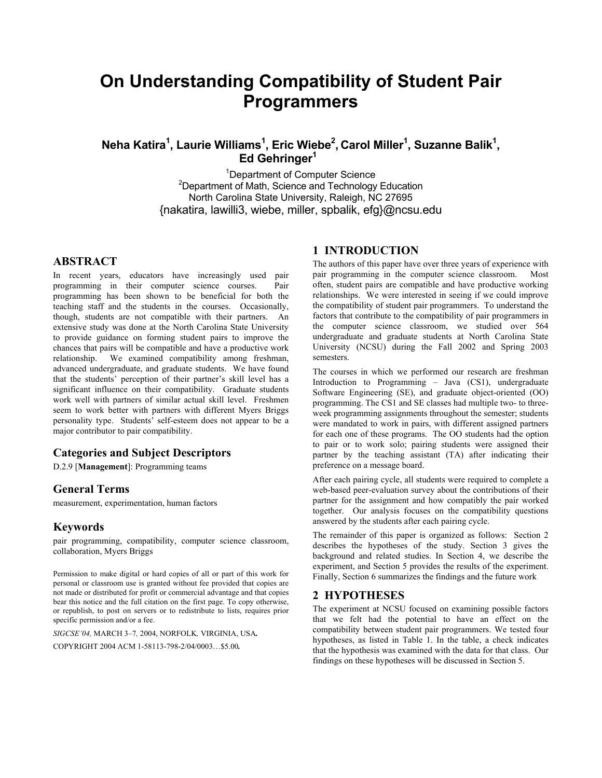# **On Understanding Compatibility of Student Pair Programmers**

**Neha Katira1 , Laurie Williams1 , Eric Wiebe2 , Carol Miller1 , Suzanne Balik1 , Ed Gehringer1**

> <sup>1</sup>Department of Computer Science<sup>2</sup><br><sup>2</sup>Department of Moth, Science and Technology <sup>2</sup>Department of Math, Science and Technology Education North Carolina State University, Raleigh, NC 27695 {nakatira, lawilli3, wiebe, miller, spbalik, efg}@ncsu.edu

## **ABSTRACT**

In recent years, educators have increasingly used pair programming in their computer science courses. Pair programming has been shown to be beneficial for both the teaching staff and the students in the courses. Occasionally, though, students are not compatible with their partners. An extensive study was done at the North Carolina State University to provide guidance on forming student pairs to improve the chances that pairs will be compatible and have a productive work relationship. We examined compatibility among freshman, advanced undergraduate, and graduate students. We have found that the students' perception of their partner's skill level has a significant influence on their compatibility. Graduate students work well with partners of similar actual skill level. Freshmen seem to work better with partners with different Myers Briggs personality type. Students' self-esteem does not appear to be a major contributor to pair compatibility.

## **Categories and Subject Descriptors**

D.2.9 [**Management**]: Programming teams

#### **General Terms**

measurement, experimentation, human factors

#### **Keywords**

pair programming, compatibility, computer science classroom, collaboration, Myers Briggs

Permission to make digital or hard copies of all or part of this work for personal or classroom use is granted without fee provided that copies are not made or distributed for profit or commercial advantage and that copies bear this notice and the full citation on the first page. To copy otherwise, or republish, to post on servers or to redistribute to lists, requires prior specific permission and/or a fee.

*SIGCSE'04,* MARCH 3–7*,* 2004, NORFOLK*,* VIRGINIA, USA*.* 

COPYRIGHT 2004 ACM 1-58113-798-2/04/0003…\$5.00*.* 

# **1 INTRODUCTION**

The authors of this paper have over three years of experience with pair programming in the computer science classroom. Most often, student pairs are compatible and have productive working relationships. We were interested in seeing if we could improve the compatibility of student pair programmers. To understand the factors that contribute to the compatibility of pair programmers in the computer science classroom, we studied over 564 undergraduate and graduate students at North Carolina State University (NCSU) during the Fall 2002 and Spring 2003 semesters.

The courses in which we performed our research are freshman Introduction to Programming – Java (CS1), undergraduate Software Engineering (SE), and graduate object-oriented (OO) programming. The CS1 and SE classes had multiple two- to threeweek programming assignments throughout the semester; students were mandated to work in pairs, with different assigned partners for each one of these programs. The OO students had the option to pair or to work solo; pairing students were assigned their partner by the teaching assistant (TA) after indicating their preference on a message board.

After each pairing cycle, all students were required to complete a web-based peer-evaluation survey about the contributions of their partner for the assignment and how compatibly the pair worked together. Our analysis focuses on the compatibility questions answered by the students after each pairing cycle.

The remainder of this paper is organized as follows: Section 2 describes the hypotheses of the study. Section 3 gives the background and related studies. In Section 4, we describe the experiment, and Section 5 provides the results of the experiment. Finally, Section 6 summarizes the findings and the future work

#### **2 HYPOTHESES**

The experiment at NCSU focused on examining possible factors that we felt had the potential to have an effect on the compatibility between student pair programmers. We tested four hypotheses, as listed in Table 1. In the table, a check indicates that the hypothesis was examined with the data for that class. Our findings on these hypotheses will be discussed in Section 5.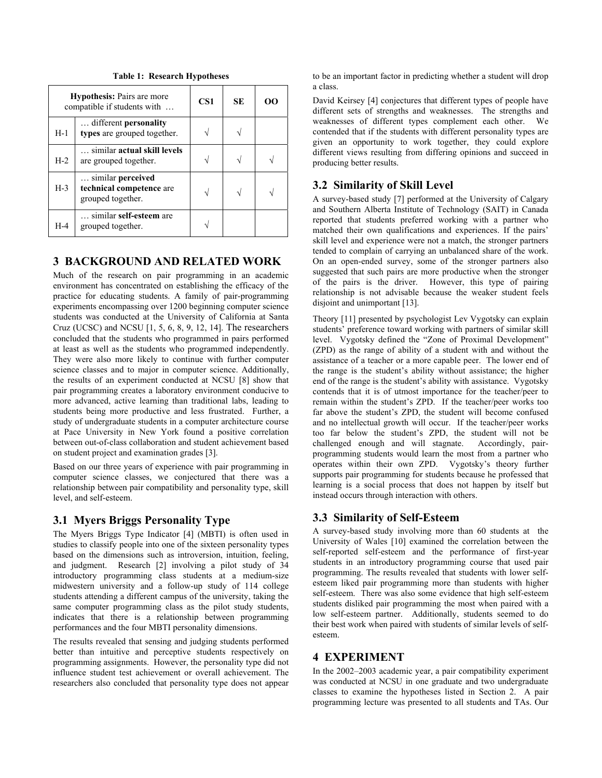| <b>Hypothesis:</b> Pairs are more<br>compatible if students with |                                                                           | CS <sub>1</sub> | <b>SE</b> | OΟ |
|------------------------------------------------------------------|---------------------------------------------------------------------------|-----------------|-----------|----|
| $H-1$                                                            | different <b>personality</b><br>types are grouped together.               |                 |           |    |
| $H-2$                                                            | similar actual skill levels<br>are grouped together.                      |                 |           |    |
| $H-3$                                                            | similar <b>perceived</b><br>technical competence are<br>grouped together. |                 |           |    |
| $H-4$                                                            | similar <b>self-esteem</b> are<br>grouped together.                       |                 |           |    |

**Table 1: Research Hypotheses** 

## **3 BACKGROUND AND RELATED WORK**

Much of the research on pair programming in an academic environment has concentrated on establishing the efficacy of the practice for educating students. A family of pair-programming experiments encompassing over 1200 beginning computer science students was conducted at the University of California at Santa Cruz (UCSC) and NCSU [1, 5, 6, 8, 9, 12, 14]. The researchers concluded that the students who programmed in pairs performed at least as well as the students who programmed independently. They were also more likely to continue with further computer science classes and to major in computer science. Additionally, the results of an experiment conducted at NCSU [8] show that pair programming creates a laboratory environment conducive to more advanced, active learning than traditional labs, leading to students being more productive and less frustrated. Further, a study of undergraduate students in a computer architecture course at Pace University in New York found a positive correlation between out-of-class collaboration and student achievement based on student project and examination grades [3].

Based on our three years of experience with pair programming in computer science classes, we conjectured that there was a relationship between pair compatibility and personality type, skill level, and self-esteem.

## **3.1 Myers Briggs Personality Type**

The Myers Briggs Type Indicator [4] (MBTI) is often used in studies to classify people into one of the sixteen personality types based on the dimensions such as introversion, intuition, feeling, and judgment. Research [2] involving a pilot study of 34 introductory programming class students at a medium-size midwestern university and a follow-up study of 114 college students attending a different campus of the university, taking the same computer programming class as the pilot study students, indicates that there is a relationship between programming performances and the four MBTI personality dimensions.

The results revealed that sensing and judging students performed better than intuitive and perceptive students respectively on programming assignments. However, the personality type did not influence student test achievement or overall achievement. The researchers also concluded that personality type does not appear

to be an important factor in predicting whether a student will drop a class.

David Keirsey [4] conjectures that different types of people have different sets of strengths and weaknesses. The strengths and weaknesses of different types complement each other. We contended that if the students with different personality types are given an opportunity to work together, they could explore different views resulting from differing opinions and succeed in producing better results.

# **3.2 Similarity of Skill Level**

A survey-based study [7] performed at the University of Calgary and Southern Alberta Institute of Technology (SAIT) in Canada reported that students preferred working with a partner who matched their own qualifications and experiences. If the pairs' skill level and experience were not a match, the stronger partners tended to complain of carrying an unbalanced share of the work. On an open-ended survey, some of the stronger partners also suggested that such pairs are more productive when the stronger of the pairs is the driver. However, this type of pairing relationship is not advisable because the weaker student feels disjoint and unimportant [13].

Theory [11] presented by psychologist Lev Vygotsky can explain students' preference toward working with partners of similar skill level. Vygotsky defined the "Zone of Proximal Development" (ZPD) as the range of ability of a student with and without the assistance of a teacher or a more capable peer. The lower end of the range is the student's ability without assistance; the higher end of the range is the student's ability with assistance. Vygotsky contends that it is of utmost importance for the teacher/peer to remain within the student's ZPD. If the teacher/peer works too far above the student's ZPD, the student will become confused and no intellectual growth will occur. If the teacher/peer works too far below the student's ZPD, the student will not be challenged enough and will stagnate. Accordingly, pairprogramming students would learn the most from a partner who operates within their own ZPD. Vygotsky's theory further supports pair programming for students because he professed that learning is a social process that does not happen by itself but instead occurs through interaction with others.

# **3.3 Similarity of Self-Esteem**

A survey-based study involving more than 60 students at the University of Wales [10] examined the correlation between the self-reported self-esteem and the performance of first-year students in an introductory programming course that used pair programming. The results revealed that students with lower selfesteem liked pair programming more than students with higher self-esteem. There was also some evidence that high self-esteem students disliked pair programming the most when paired with a low self-esteem partner. Additionally, students seemed to do their best work when paired with students of similar levels of selfesteem.

# **4 EXPERIMENT**

In the 2002–2003 academic year, a pair compatibility experiment was conducted at NCSU in one graduate and two undergraduate classes to examine the hypotheses listed in Section 2. A pair programming lecture was presented to all students and TAs. Our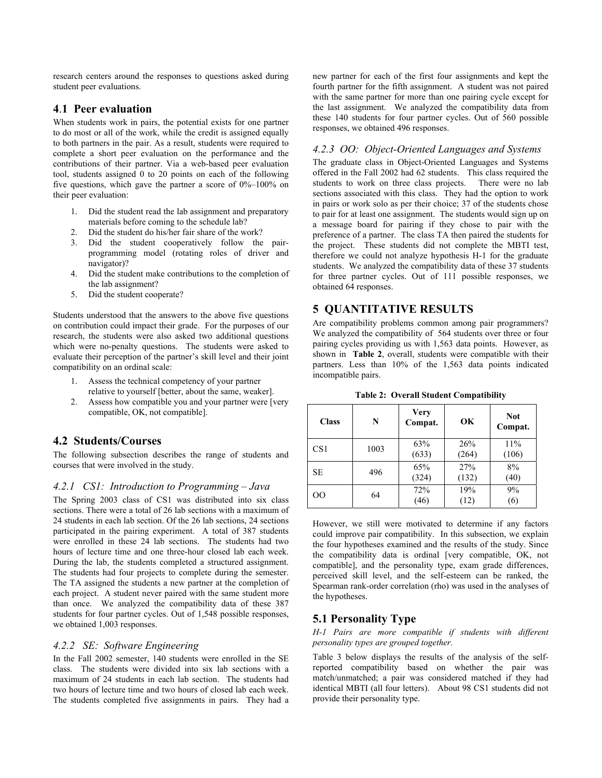research centers around the responses to questions asked during student peer evaluations.

# **4**.**1 Peer evaluation**

When students work in pairs, the potential exists for one partner to do most or all of the work, while the credit is assigned equally to both partners in the pair. As a result, students were required to complete a short peer evaluation on the performance and the contributions of their partner. Via a web-based peer evaluation tool, students assigned 0 to 20 points on each of the following five questions, which gave the partner a score of  $0\%$ –100% on their peer evaluation:

- 1. Did the student read the lab assignment and preparatory materials before coming to the schedule lab?
- 2. Did the student do his/her fair share of the work?
- 3. Did the student cooperatively follow the pairprogramming model (rotating roles of driver and navigator)?
- 4. Did the student make contributions to the completion of the lab assignment?
- 5. Did the student cooperate?

Students understood that the answers to the above five questions on contribution could impact their grade. For the purposes of our research, the students were also asked two additional questions which were no-penalty questions. The students were asked to evaluate their perception of the partner's skill level and their joint compatibility on an ordinal scale:

- 1. Assess the technical competency of your partner relative to yourself [better, about the same, weaker].
- 2. Assess how compatible you and your partner were [very compatible, OK, not compatible].

# **4.2 Students/Courses**

The following subsection describes the range of students and courses that were involved in the study.

## *4.2.1 CS1: Introduction to Programming – Java*

The Spring 2003 class of CS1 was distributed into six class sections. There were a total of 26 lab sections with a maximum of 24 students in each lab section. Of the 26 lab sections, 24 sections participated in the pairing experiment. A total of 387 students were enrolled in these 24 lab sections. The students had two hours of lecture time and one three-hour closed lab each week. During the lab, the students completed a structured assignment. The students had four projects to complete during the semester. The TA assigned the students a new partner at the completion of each project. A student never paired with the same student more than once. We analyzed the compatibility data of these 387 students for four partner cycles. Out of 1,548 possible responses, we obtained 1,003 responses.

#### *4.2.2 SE: Software Engineering*

In the Fall 2002 semester, 140 students were enrolled in the SE class. The students were divided into six lab sections with a maximum of 24 students in each lab section. The students had two hours of lecture time and two hours of closed lab each week. The students completed five assignments in pairs. They had a new partner for each of the first four assignments and kept the fourth partner for the fifth assignment. A student was not paired with the same partner for more than one pairing cycle except for the last assignment. We analyzed the compatibility data from these 140 students for four partner cycles. Out of 560 possible responses, we obtained 496 responses.

## *4.2.3 OO: Object-Oriented Languages and Systems*

The graduate class in Object-Oriented Languages and Systems offered in the Fall 2002 had 62 students. This class required the students to work on three class projects. There were no lab sections associated with this class. They had the option to work in pairs or work solo as per their choice; 37 of the students chose to pair for at least one assignment. The students would sign up on a message board for pairing if they chose to pair with the preference of a partner. The class TA then paired the students for the project. These students did not complete the MBTI test, therefore we could not analyze hypothesis H-1 for the graduate students. We analyzed the compatibility data of these 37 students for three partner cycles. Out of 111 possible responses, we obtained 64 responses.

# **5 QUANTITATIVE RESULTS**

Are compatibility problems common among pair programmers? We analyzed the compatibility of 564 students over three or four pairing cycles providing us with 1,563 data points. However, as shown in **Table 2**, overall, students were compatible with their partners. Less than 10% of the 1,563 data points indicated incompatible pairs.

| <b>Class</b>    | N    | <b>Very</b><br>Compat. | OK           | <b>Not</b><br>Compat. |
|-----------------|------|------------------------|--------------|-----------------------|
| CS <sub>1</sub> | 1003 | 63%<br>(633)           | 26%<br>(264) | 11%<br>(106)          |
| SE.             | 496  | 65%<br>(324)           | 27%<br>(132) | 8%<br>(40)            |
| 0 <sup>0</sup>  | 64   | 72%<br>(46)            | 19%<br>(12)  | 9%<br>(6)             |

**Table 2: Overall Student Compatibility** 

However, we still were motivated to determine if any factors could improve pair compatibility. In this subsection, we explain the four hypotheses examined and the results of the study. Since the compatibility data is ordinal [very compatible, OK, not compatible], and the personality type, exam grade differences, perceived skill level, and the self-esteem can be ranked, the Spearman rank-order correlation (rho) was used in the analyses of the hypotheses.

# **5.1 Personality Type**

*H-1 Pairs are more compatible if students with different personality types are grouped together.* 

Table 3 below displays the results of the analysis of the selfreported compatibility based on whether the pair was match/unmatched; a pair was considered matched if they had identical MBTI (all four letters). About 98 CS1 students did not provide their personality type.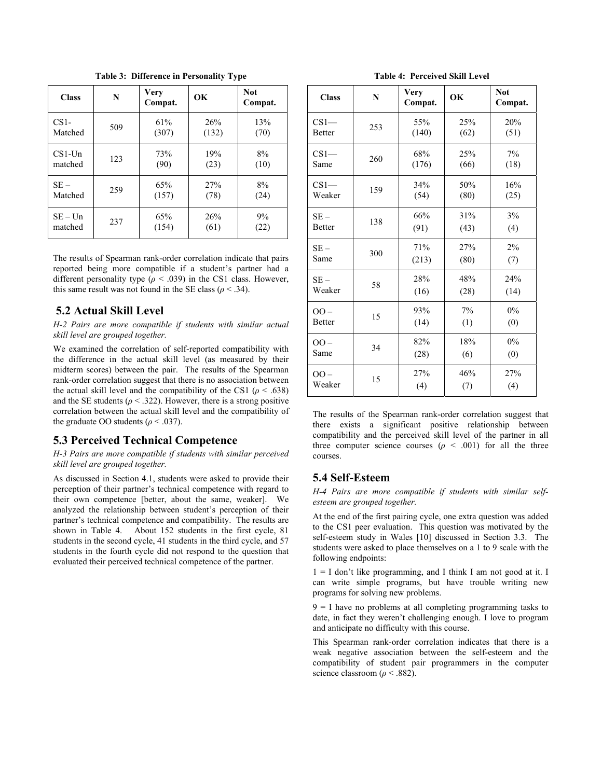| <b>Class</b> | N   | <b>Very</b><br>Compat. | OK    | <b>Not</b><br>Compat. |
|--------------|-----|------------------------|-------|-----------------------|
| $CS1-$       | 509 | 61%                    | 26%   | 13%                   |
| Matched      |     | (307)                  | (132) | (70)                  |
| $CS1-Un$     | 123 | 73%                    | 19%   | 8%                    |
| matched      |     | (90)                   | (23)  | (10)                  |
| $SE-$        | 259 | 65%                    | 27%   | 8%                    |
| Matched      |     | (157)                  | (78)  | (24)                  |
| $SE - Un$    | 237 | 65%                    | 26%   | 9%                    |
| matched      |     | (154)                  | (61)  | (22)                  |

**Table 3: Difference in Personality Type** 

The results of Spearman rank-order correlation indicate that pairs reported being more compatible if a student's partner had a different personality type ( $\rho$  < .039) in the CS1 class. However, this same result was not found in the SE class ( $\rho < .34$ ).

#### **5.2 Actual Skill Level**

*H-2 Pairs are more compatible if students with similar actual skill level are grouped together.* 

We examined the correlation of self-reported compatibility with the difference in the actual skill level (as measured by their midterm scores) between the pair. The results of the Spearman rank-order correlation suggest that there is no association between the actual skill level and the compatibility of the CS1 ( $\rho$  < .638) and the SE students ( $\rho$  < .322). However, there is a strong positive correlation between the actual skill level and the compatibility of the graduate OO students ( $\rho$  < .037).

#### **5.3 Perceived Technical Competence**

*H-3 Pairs are more compatible if students with similar perceived skill level are grouped together.* 

As discussed in Section 4.1, students were asked to provide their perception of their partner's technical competence with regard to their own competence [better, about the same, weaker]. We analyzed the relationship between student's perception of their partner's technical competence and compatibility. The results are shown in Table 4. About 152 students in the first cycle, 81 students in the second cycle, 41 students in the third cycle, and 57 students in the fourth cycle did not respond to the question that evaluated their perceived technical competence of the partner.

 **Table 4: Perceived Skill Level** 

| <b>Class</b>  | N   | Very<br>Compat. | OK   | <b>Not</b><br>Compat. |
|---------------|-----|-----------------|------|-----------------------|
| $CS1-$        | 253 | 55%             | 25%  | 20%                   |
| <b>Better</b> |     | (140)           | (62) | (51)                  |
| $CS1-$        | 260 | 68%             | 25%  | 7%                    |
| Same          |     | (176)           | (66) | (18)                  |
| $CS1-$        | 159 | 34%             | 50%  | 16%                   |
| Weaker        |     | (54)            | (80) | (25)                  |
| $SE-$         | 138 | 66%             | 31%  | 3%                    |
| <b>Better</b> |     | (91)            | (43) | (4)                   |
| $SE-$         | 300 | 71%             | 27%  | 2%                    |
| Same          |     | (213)           | (80) | (7)                   |
| $SE-$         | 58  | 28%             | 48%  | 24%                   |
| Weaker        |     | (16)            | (28) | (14)                  |
| $OO-$         | 15  | 93%             | 7%   | 0%                    |
| <b>Better</b> |     | (14)            | (1)  | (0)                   |
| $OO-$         | 34  | 82%             | 18%  | 0%                    |
| Same          |     | (28)            | (6)  | (0)                   |
| $OO-$         | 15  | 27%             | 46%  | 27%                   |
| Weaker        |     | (4)             | (7)  | (4)                   |

The results of the Spearman rank-order correlation suggest that there exists a significant positive relationship between compatibility and the perceived skill level of the partner in all three computer science courses ( $\rho < .001$ ) for all the three courses.

## **5.4 Self-Esteem**

*H-4 Pairs are more compatible if students with similar selfesteem are grouped together.* 

At the end of the first pairing cycle, one extra question was added to the CS1 peer evaluation. This question was motivated by the self-esteem study in Wales [10] discussed in Section 3.3. The students were asked to place themselves on a 1 to 9 scale with the following endpoints:

1 = I don't like programming, and I think I am not good at it. I can write simple programs, but have trouble writing new programs for solving new problems.

 $9 = I$  have no problems at all completing programming tasks to date, in fact they weren't challenging enough. I love to program and anticipate no difficulty with this course.

This Spearman rank-order correlation indicates that there is a weak negative association between the self-esteem and the compatibility of student pair programmers in the computer science classroom ( $\rho$  < .882).